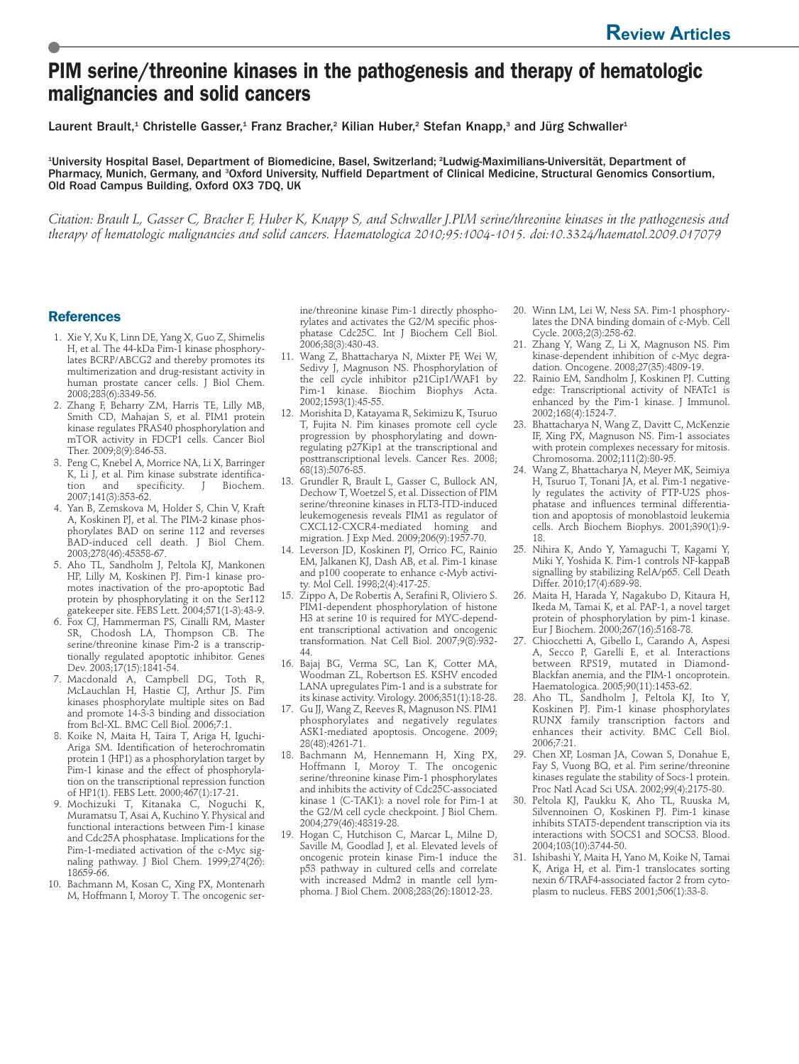## **PIM serine/threonine kinases in the pathogenesis and therapy of hematologic malignancies and solid cancers**

Laurent Brault,<sup>1</sup> Christelle Gasser,<sup>1</sup> Franz Bracher,<sup>2</sup> Kilian Huber,<sup>2</sup> Stefan Knapp,<sup>3</sup> and Jürg Schwaller<sup>1</sup>

<sup>1</sup>University Hospital Basel, Department of Biomedicine, Basel, Switzerland; <sup>2</sup>Ludwig-Maximilians-Universität, Department of Pharmacy, Munich, Germany, and <sup>3</sup>Oxford University, Nuffield Department of Clinical Medicine, Structural Genomics Consortium, Old Road Campus Building, Oxford OX3 7DQ, UK

*Citation: Brault L, Gasser C, Bracher F, Huber K, Knapp S, and Schwaller J.PIM serine/threonine kinases in the pathogenesis and therapy of hematologic malignancies and solid cancers. Haematologica 2010;95:1004-1015. doi:10.3324/haematol.2009.017079*

## **References**

- 1. Xie Y, Xu K, Linn DE, Yang X, Guo Z, Shimelis H, et al. The 44-kDa Pim-1 kinase phosphorylates BCRP/ABCG2 and thereby promotes its multimerization and drug-resistant activity in human prostate cancer cells. J Biol Chem. 2008;283(6):3349-56.
- 2. Zhang F, Beharry ZM, Harris TE, Lilly MB, Smith CD, Mahajan S, et al. PIM1 protein kinase regulates PRAS40 phosphorylation and mTOR activity in FDCP1 cells. Cancer Biol Ther. 2009;8(9):846-53.
- 3. Peng C, Knebel A, Morrice NA, Li X, Barringer K, Li J, et al. Pim kinase substrate identification and specificity. J Biochem. 2007;141(3):353-62.
- 4. Yan B, Zemskova M, Holder S, Chin V, Kraft A, Koskinen PJ, et al. The PIM-2 kinase phosphorylates BAD on serine 112 and reverses BAD-induced cell death. J Biol Chem. 2003;278(46):45358-67.
- 5. Aho TL, Sandholm J, Peltola KJ, Mankonen HP, Lilly M, Koskinen PJ. Pim-1 kinase promotes inactivation of the pro-apoptotic Bad protein by phosphorylating it on the Ser112 gatekeeper site. FEBS Lett. 2004;571(1-3):43-9.
- 6. Fox CJ, Hammerman PS, Cinalli RM, Master SR, Chodosh LA, Thompson CB. The serine/threonine kinase Pim-2 is a transcriptionally regulated apoptotic inhibitor. Genes Dev. 2003;17(15):1841-54.
- 7. Macdonald A, Campbell DG, Toth R, McLauchlan H, Hastie CJ, Arthur JS. Pim kinases phosphorylate multiple sites on Bad and promote 14-3-3 binding and dissociation from Bcl-XL. BMC Cell Biol. 2006;7:1.
- 8. Koike N, Maita H, Taira T, Ariga H, Iguchi-Ariga SM. Identification of heterochromatin protein 1 (HP1) as a phosphorylation target by Pim-1 kinase and the effect of phosphorylation on the transcriptional repression function of HP1(1). FEBS Lett. 2000;467(1):17-21.
- 9. Mochizuki T, Kitanaka C, Noguchi K, Muramatsu T, Asai A, Kuchino Y. Physical and functional interactions between Pim-1 kinase and Cdc25A phosphatase. Implications for the Pim-1-mediated activation of the c-Myc signaling pathway. J Biol Chem. 1999;274(26): 18659-66.
- 10. Bachmann M, Kosan C, Xing PX, Montenarh M, Hoffmann I, Moroy T. The oncogenic ser-

ine/threonine kinase Pim-1 directly phosphorylates and activates the G2/M specific phosphatase Cdc25C. Int J Biochem Cell Biol. 2006;38(3):430-43.

- 11. Wang Z, Bhattacharya N, Mixter PF, Wei W, Sedivy J, Magnuson NS. Phosphorylation of the cell cycle inhibitor p21Cip1/WAF1 by Pim-1 kinase. Biochim Biophys Acta. 2002;1593(1):45-55.
- 12. Morishita D, Katayama R, Sekimizu K, Tsuruo T, Fujita N. Pim kinases promote cell cycle progression by phosphorylating and downregulating p27Kip1 at the transcriptional and posttranscriptional levels. Cancer Res. 2008; 68(13):5076-85.
- 13. Grundler R, Brault L, Gasser C, Bullock AN, Dechow T, Woetzel S, et al. Dissection of PIM serine/threonine kinases in FLT3-ITD-induced leukemogenesis reveals PIM1 as regulator of CXCL12-CXCR4-mediated homing and migration. J Exp Med. 2009;206(9):1957-70.
- 14. Leverson JD, Koskinen PJ, Orrico FC, Rainio EM, Jalkanen KJ, Dash AB, et al. Pim-1 kinase and p100 cooperate to enhance c-Myb activity. Mol Cell. 1998;2(4):417-25.
- 15. Zippo A, De Robertis A, Serafini R, Oliviero S. PIM1-dependent phosphorylation of histone H3 at serine 10 is required for MYC-dependent transcriptional activation and oncogenic transformation. Nat Cell Biol. 2007;9(8):932- 44.
- 16. Bajaj BG, Verma SC, Lan K, Cotter MA, Woodman ZL, Robertson ES. KSHV encoded LANA upregulates Pim-1 and is a substrate for its kinase activity. Virology. 2006;351(1):18-28.
- 17. Gu JJ, Wang Z, Reeves R, Magnuson NS. PIM1 phosphorylates and negatively regulates ASK1-mediated apoptosis. Oncogene. 2009; 28(48):4261-71.
- 18. Bachmann M, Hennemann H, Xing PX, Hoffmann I, Moroy T. The oncogenic serine/threonine kinase Pim-1 phosphorylates and inhibits the activity of Cdc25C-associated kinase 1 (C-TAK1): a novel role for Pim-1 at the G2/M cell cycle checkpoint. J Biol Chem. 2004;279(46):48319-28.
- 19. Hogan C, Hutchison C, Marcar L, Milne D, Saville M, Goodlad J, et al. Elevated levels of oncogenic protein kinase Pim-1 induce the p53 pathway in cultured cells and correlate with increased Mdm2 in mantle cell lymphoma. J Biol Chem. 2008;283(26):18012-23.
- 20. Winn LM, Lei W, Ness SA. Pim-1 phosphorylates the DNA binding domain of c-Myb. Cell Cycle. 2003;2(3):258-62.
- 21. Zhang Y, Wang Z, Li X, Magnuson NS. Pim kinase-dependent inhibition of c-Myc degradation. Oncogene. 2008;27(35):4809-19.
- 22. Rainio EM, Sandholm J, Koskinen PJ. Cutting edge: Transcriptional activity of NFATc1 is enhanced by the Pim-1 kinase. J Immunol. 2002;168(4):1524-7.
- 23. Bhattacharya N, Wang Z, Davitt C, McKenzie IF, Xing PX, Magnuson NS. Pim-1 associates with protein complexes necessary for mitosis. Chromosoma. 2002;111(2):80-95.
- 24. Wang Z, Bhattacharya N, Meyer MK, Seimiya H, Tsuruo T, Tonani JA, et al. Pim-1 negatively regulates the activity of PTP-U2S phosphatase and influences terminal differentiation and apoptosis of monoblastoid leukemia cells. Arch Biochem Biophys. 2001;390(1):9- 18.
- 25. Nihira K, Ando Y, Yamaguchi T, Kagami Y, Miki Y, Yoshida K. Pim-1 controls NF-kappaB signalling by stabilizing RelA/p65. Cell Death Differ. 2010;17(4):689-98.
- 26. Maita H, Harada Y, Nagakubo D, Kitaura H, Ikeda M, Tamai K, et al. PAP-1, a novel target protein of phosphorylation by pim-1 kinase. Eur J Biochem. 2000;267(16):5168-78.
- 27. Chiocchetti A, Gibello L, Carando A, Aspesi A, Secco P, Garelli E, et al. Interactions between RPS19, mutated in Diamond-Blackfan anemia, and the PIM-1 oncoprotein. Haematologica. 2005;90(11):1453-62.
- 28. Aho TL, Sandholm J, Peltola KJ, Ito Y, Koskinen PJ. Pim-1 kinase phosphorylates RUNX family transcription factors and enhances their activity. BMC Cell Biol. 2006;7:21.
- 29. Chen XP, Losman JA, Cowan S, Donahue E, Fay S, Vuong BQ, et al. Pim serine/threonine kinases regulate the stability of Socs-1 protein. Proc Natl Acad Sci USA. 2002;99(4):2175-80.
- 30. Peltola KJ, Paukku K, Aho TL, Ruuska M, Silvennoinen O, Koskinen PJ. Pim-1 kinase inhibits STAT5-dependent transcription via its interactions with SOCS1 and SOCS3. Blood. 2004;103(10):3744-50.
- 31. Ishibashi Y, Maita H, Yano M, Koike N, Tamai K, Ariga H, et al. Pim-1 translocates sorting nexin 6/TRAF4-associated factor 2 from cytoplasm to nucleus. FEBS 2001;506(1):33-8.